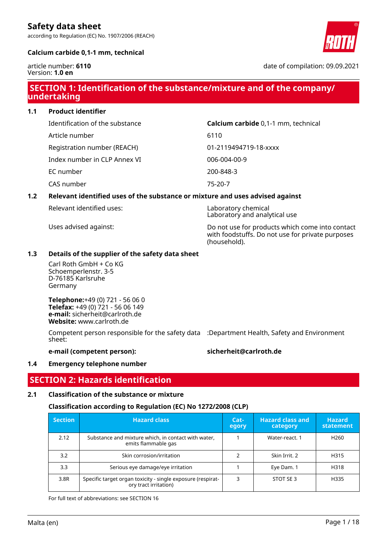according to Regulation (EC) No. 1907/2006 (REACH)



#### **Calcium carbide 0,1-1 mm, technical**

article number: **6110** Version: **1.0 en**

date of compilation: 09.09.2021

# **SECTION 1: Identification of the substance/mixture and of the company/ undertaking**

**1.1 Product identifier**

Identification of the substance **Calcium carbide** 0,1-1 mm, technical

Registration number (REACH) 01-2119494719-18-xxxx

Index number in CLP Annex VI 006-004-00-9

EC number 200-848-3

CAS number 75-20-7

### **1.2 Relevant identified uses of the substance or mixture and uses advised against**

Article number 6110

Relevant identified uses: Laboratory chemical

Laboratory and analytical use

Uses advised against: Do not use for products which come into contact with foodstuffs. Do not use for private purposes (household).

#### **1.3 Details of the supplier of the safety data sheet**

Carl Roth GmbH + Co KG Schoemperlenstr. 3-5 D-76185 Karlsruhe Germany

**Telephone:**+49 (0) 721 - 56 06 0 **Telefax:** +49 (0) 721 - 56 06 149 **e-mail:** sicherheit@carlroth.de **Website:** www.carlroth.de

Competent person responsible for the safety data :Department Health, Safety and Environment sheet:

**e-mail (competent person): sicherheit@carlroth.de**

#### **1.4 Emergency telephone number**

### **SECTION 2: Hazards identification**

### **2.1 Classification of the substance or mixture**

### **Classification according to Regulation (EC) No 1272/2008 (CLP)**

| <b>Section</b> | <b>Hazard class</b>                                                                  | $Cat-$<br>egory | <b>Hazard class and</b><br>category | <b>Hazard</b><br>statement |
|----------------|--------------------------------------------------------------------------------------|-----------------|-------------------------------------|----------------------------|
| 2.12           | Substance and mixture which, in contact with water,<br>emits flammable gas           |                 | Water-react, 1                      | H <sub>260</sub>           |
| 3.2            | Skin corrosion/irritation                                                            |                 | Skin Irrit. 2                       | H315                       |
| 3.3            | Serious eye damage/eye irritation                                                    |                 | Eye Dam. 1                          | H318                       |
| 3.8R           | Specific target organ toxicity - single exposure (respirat-<br>ory tract irritation) | 3               | STOT SE 3                           | H335                       |

For full text of abbreviations: see SECTION 16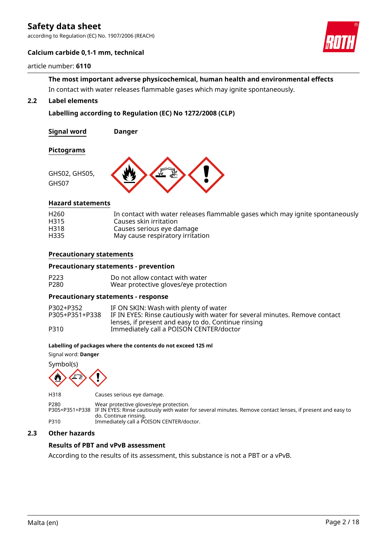according to Regulation (EC) No. 1907/2006 (REACH)



#### **Calcium carbide 0,1-1 mm, technical**

#### article number: **6110**

# **The most important adverse physicochemical, human health and environmental effects**

In contact with water releases flammable gases which may ignite spontaneously.

### **2.2 Label elements**

#### **Labelling according to Regulation (EC) No 1272/2008 (CLP)**

**Signal word Danger**

**Pictograms**



#### **Hazard statements**

| H <sub>260</sub> | In contact with water releases flammable gases which may ignite spontaneously |
|------------------|-------------------------------------------------------------------------------|
| H315             | Causes skin irritation                                                        |
| H318             | Causes serious eye damage                                                     |
| H335             | May cause respiratory irritation                                              |

#### **Precautionary statements**

#### **Precautionary statements - prevention**

| P223 | Do not allow contact with water       |
|------|---------------------------------------|
| P280 | Wear protective gloves/eye protection |

#### **Precautionary statements - response**

| P302+P352      | IF ON SKIN: Wash with plenty of water                                       |
|----------------|-----------------------------------------------------------------------------|
| P305+P351+P338 | IF IN EYES: Rinse cautiously with water for several minutes. Remove contact |
|                | lenses, if present and easy to do. Continue rinsing                         |
| P310           | Immediately call a POISON CENTER/doctor                                     |

#### **Labelling of packages where the contents do not exceed 125 ml**

Signal word: **Danger**

Symbol(s)



H318 Causes serious eye damage.

P280 Wear protective gloves/eye protection. P305+P351+P338 IF IN EYES: Rinse cautiously with water for several minutes. Remove contact lenses, if present and easy to do. Continue rinsing. P310 Immediately call a POISON CENTER/doctor.

#### **2.3 Other hazards**

#### **Results of PBT and vPvB assessment**

According to the results of its assessment, this substance is not a PBT or a vPvB.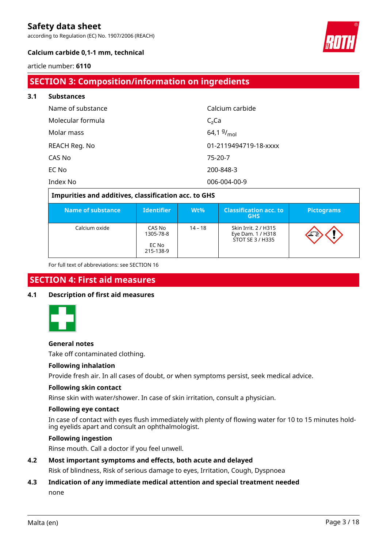according to Regulation (EC) No. 1907/2006 (REACH)



### **Calcium carbide 0,1-1 mm, technical**

#### article number: **6110**

# **SECTION 3: Composition/information on ingredients**

| 3.1 | <b>Substances</b> |                       |
|-----|-------------------|-----------------------|
|     | Name of substance | Calcium carbide       |
|     | Molecular formula | $C2$ Ca               |
|     | Molar mass        | 64,1 $9/_{mol}$       |
|     | REACH Reg. No     | 01-2119494719-18-xxxx |
|     | CAS No            | 75-20-7               |
|     | EC No             | 200-848-3             |
|     | Index No          | 006-004-00-9          |

| Impurities and additives, classification acc. to GHS |                                           |           |                                                               |                   |  |  |  |  |
|------------------------------------------------------|-------------------------------------------|-----------|---------------------------------------------------------------|-------------------|--|--|--|--|
| Name of substance                                    | <b>Identifier</b>                         | $Wt\%$    | <b>Classification acc. to</b><br><b>GHS</b>                   | <b>Pictograms</b> |  |  |  |  |
| Calcium oxide                                        | CAS No<br>1305-78-8<br>EC No<br>215-138-9 | $14 - 18$ | Skin Irrit, 2 / H315<br>Eye Dam. 1 / H318<br>STOT SE 3 / H335 |                   |  |  |  |  |

For full text of abbreviations: see SECTION 16

### **SECTION 4: First aid measures**

### **4.1 Description of first aid measures**



#### **General notes**

Take off contaminated clothing.

#### **Following inhalation**

Provide fresh air. In all cases of doubt, or when symptoms persist, seek medical advice.

#### **Following skin contact**

Rinse skin with water/shower. In case of skin irritation, consult a physician.

#### **Following eye contact**

In case of contact with eyes flush immediately with plenty of flowing water for 10 to 15 minutes holding eyelids apart and consult an ophthalmologist.

#### **Following ingestion**

Rinse mouth. Call a doctor if you feel unwell.

### **4.2 Most important symptoms and effects, both acute and delayed**

Risk of blindness, Risk of serious damage to eyes, Irritation, Cough, Dyspnoea

# **4.3 Indication of any immediate medical attention and special treatment needed**

none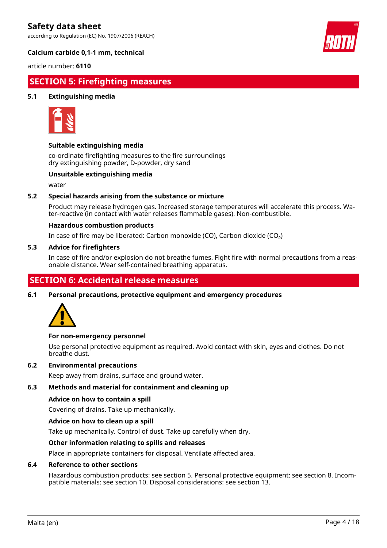according to Regulation (EC) No. 1907/2006 (REACH)



#### **Calcium carbide 0,1-1 mm, technical**

article number: **6110**

## **SECTION 5: Firefighting measures**

### **5.1 Extinguishing media**



#### **Suitable extinguishing media**

co-ordinate firefighting measures to the fire surroundings dry extinguishing powder, D-powder, dry sand

#### **Unsuitable extinguishing media**

water

#### **5.2 Special hazards arising from the substance or mixture**

Product may release hydrogen gas. Increased storage temperatures will accelerate this process. Water-reactive (in contact with water releases flammable gases). Non-combustible.

#### **Hazardous combustion products**

In case of fire may be liberated: Carbon monoxide (CO), Carbon dioxide (CO₂)

#### **5.3 Advice for firefighters**

In case of fire and/or explosion do not breathe fumes. Fight fire with normal precautions from a reasonable distance. Wear self-contained breathing apparatus.

### **SECTION 6: Accidental release measures**

#### **6.1 Personal precautions, protective equipment and emergency procedures**



#### **For non-emergency personnel**

Use personal protective equipment as required. Avoid contact with skin, eyes and clothes. Do not breathe dust.

#### **6.2 Environmental precautions**

Keep away from drains, surface and ground water.

#### **6.3 Methods and material for containment and cleaning up**

#### **Advice on how to contain a spill**

Covering of drains. Take up mechanically.

#### **Advice on how to clean up a spill**

Take up mechanically. Control of dust. Take up carefully when dry.

#### **Other information relating to spills and releases**

Place in appropriate containers for disposal. Ventilate affected area.

#### **6.4 Reference to other sections**

Hazardous combustion products: see section 5. Personal protective equipment: see section 8. Incompatible materials: see section 10. Disposal considerations: see section 13.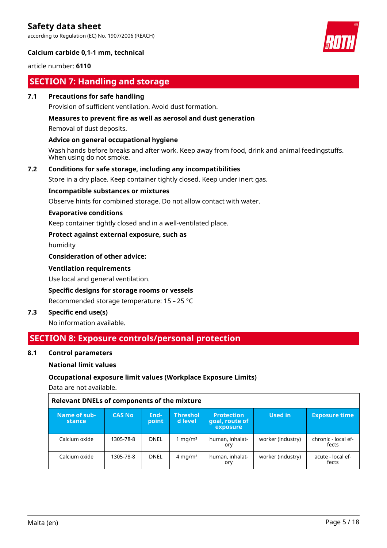according to Regulation (EC) No. 1907/2006 (REACH)



### **Calcium carbide 0,1-1 mm, technical**

article number: **6110**

# **SECTION 7: Handling and storage**

#### **7.1 Precautions for safe handling**

Provision of sufficient ventilation. Avoid dust formation.

#### **Measures to prevent fire as well as aerosol and dust generation**

Removal of dust deposits.

#### **Advice on general occupational hygiene**

Wash hands before breaks and after work. Keep away from food, drink and animal feedingstuffs. When using do not smoke.

#### **7.2 Conditions for safe storage, including any incompatibilities**

Store in a dry place. Keep container tightly closed. Keep under inert gas.

#### **Incompatible substances or mixtures**

Observe hints for combined storage. Do not allow contact with water.

#### **Evaporative conditions**

Keep container tightly closed and in a well-ventilated place.

#### **Protect against external exposure, such as**

humidity

#### **Consideration of other advice:**

#### **Ventilation requirements**

Use local and general ventilation.

#### **Specific designs for storage rooms or vessels**

Recommended storage temperature: 15 – 25 °C

#### **7.3 Specific end use(s)**

No information available.

### **SECTION 8: Exposure controls/personal protection**

#### **8.1 Control parameters**

#### **National limit values**

#### **Occupational exposure limit values (Workplace Exposure Limits)**

Data are not available.

#### **Relevant DNELs of components of the mixture**

| Name of sub-<br>stance | <b>CAS No</b> | End-<br>point | <b>Threshol</b><br>d level | <b>Protection</b><br>goal, route of<br>exposure | Used in           | <b>Exposure time</b>         |
|------------------------|---------------|---------------|----------------------------|-------------------------------------------------|-------------------|------------------------------|
| Calcium oxide          | 1305-78-8     | <b>DNEL</b>   | l mg/m <sup>3</sup>        | human, inhalat-<br>ory                          | worker (industry) | chronic - local ef-<br>fects |
| Calcium oxide          | 1305-78-8     | <b>DNEL</b>   | $4 \text{ mg/m}^3$         | human, inhalat-<br>ory                          | worker (industry) | acute - local ef-<br>fects   |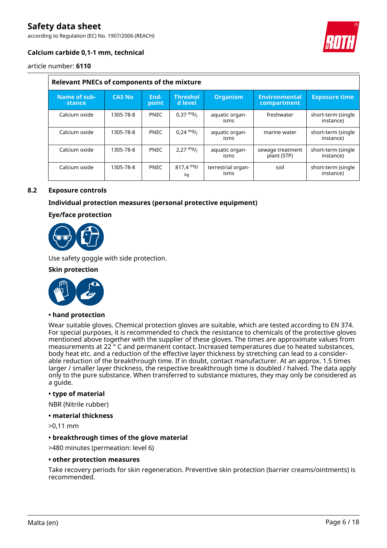according to Regulation (EC) No. 1907/2006 (REACH)



### **Calcium carbide 0,1-1 mm, technical**

article number: **6110**

| <b>Relevant PNECs of components of the mixture</b> |               |               |                            |                            |                                     |                                 |  |  |
|----------------------------------------------------|---------------|---------------|----------------------------|----------------------------|-------------------------------------|---------------------------------|--|--|
| Name of sub-<br>stance                             | <b>CAS No</b> | End-<br>point | <b>Threshol</b><br>d level | <b>Organism</b>            | <b>Environmental</b><br>compartment | <b>Exposure time</b>            |  |  |
| Calcium oxide                                      | 1305-78-8     | <b>PNEC</b>   | $0.37 \frac{mg}{L}$        | aquatic organ-<br>isms     | freshwater                          | short-term (single<br>instance) |  |  |
| Calcium oxide                                      | 1305-78-8     | <b>PNEC</b>   | $0,24 \frac{mg}{l}$        | aquatic organ-<br>isms     | marine water                        | short-term (single<br>instance) |  |  |
| Calcium oxide                                      | 1305-78-8     | <b>PNEC</b>   | $2,27 \frac{mg}{l}$        | aquatic organ-<br>isms     | sewage treatment<br>plant (STP)     | short-term (single<br>instance) |  |  |
| Calcium oxide                                      | 1305-78-8     | <b>PNEC</b>   | $817,4 \text{ mg}$<br>kq   | terrestrial organ-<br>isms | soil                                | short-term (single<br>instance) |  |  |

#### **8.2 Exposure controls**

### **Individual protection measures (personal protective equipment)**

#### **Eye/face protection**



Use safety goggle with side protection.

#### **Skin protection**



#### **• hand protection**

Wear suitable gloves. Chemical protection gloves are suitable, which are tested according to EN 374. For special purposes, it is recommended to check the resistance to chemicals of the protective gloves mentioned above together with the supplier of these gloves. The times are approximate values from measurements at 22<sup>°</sup> C and permanent contact. Increased temperatures due to heated substances, body heat etc. and a reduction of the effective layer thickness by stretching can lead to a considerable reduction of the breakthrough time. If in doubt, contact manufacturer. At an approx. 1.5 times larger / smaller layer thickness, the respective breakthrough time is doubled / halved. The data apply only to the pure substance. When transferred to substance mixtures, they may only be considered as a guide.

#### **• type of material**

NBR (Nitrile rubber)

- **material thickness**
- >0,11 mm

#### **• breakthrough times of the glove material**

>480 minutes (permeation: level 6)

#### **• other protection measures**

Take recovery periods for skin regeneration. Preventive skin protection (barrier creams/ointments) is recommended.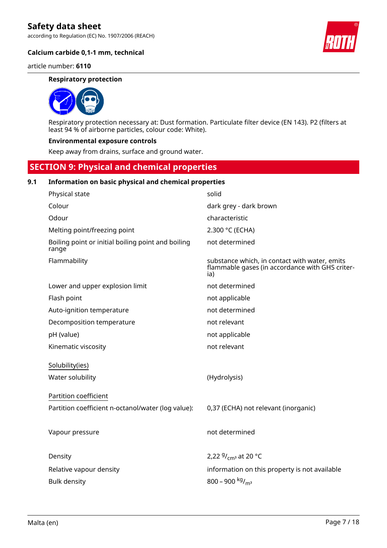according to Regulation (EC) No. 1907/2006 (REACH)

**Calcium carbide 0,1-1 mm, technical**

article number: **6110**

#### **Respiratory protection**



Respiratory protection necessary at: Dust formation. Particulate filter device (EN 143). P2 (filters at least 94 % of airborne particles, colour code: White).

#### **Environmental exposure controls**

Keep away from drains, surface and ground water.

# **SECTION 9: Physical and chemical properties**

#### **9.1 Information on basic physical and chemical properties**

| Physical state                                              | solid                                                                                                   |
|-------------------------------------------------------------|---------------------------------------------------------------------------------------------------------|
| Colour                                                      | dark grey - dark brown                                                                                  |
| Odour                                                       | characteristic                                                                                          |
| Melting point/freezing point                                | 2.300 °C (ECHA)                                                                                         |
| Boiling point or initial boiling point and boiling<br>range | not determined                                                                                          |
| Flammability                                                | substance which, in contact with water, emits<br>flammable gases (in accordance with GHS criter-<br>ia) |
| Lower and upper explosion limit                             | not determined                                                                                          |
| Flash point                                                 | not applicable                                                                                          |
| Auto-ignition temperature                                   | not determined                                                                                          |
| Decomposition temperature                                   | not relevant                                                                                            |
| pH (value)                                                  | not applicable                                                                                          |
| Kinematic viscosity                                         | not relevant                                                                                            |
| Solubility(ies)                                             |                                                                                                         |
| Water solubility                                            | (Hydrolysis)                                                                                            |
| Partition coefficient                                       |                                                                                                         |
| Partition coefficient n-octanol/water (log value):          | 0,37 (ECHA) not relevant (inorganic)                                                                    |
|                                                             |                                                                                                         |
| Vapour pressure                                             | not determined                                                                                          |
|                                                             |                                                                                                         |
| Density                                                     | 2,22 $9/$ <sub>cm</sub> at 20 °C                                                                        |
| Relative vapour density                                     | information on this property is not available                                                           |
| <b>Bulk density</b>                                         | 800 - 900 kg/m <sup>3</sup>                                                                             |
|                                                             |                                                                                                         |

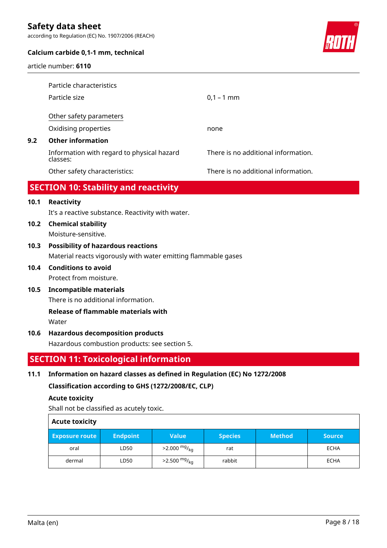according to Regulation (EC) No. 1907/2006 (REACH)



#### **Calcium carbide 0,1-1 mm, technical**

article number: **6110**

|     | Particle characteristics                               |                                     |
|-----|--------------------------------------------------------|-------------------------------------|
|     | Particle size                                          | $0,1 - 1$ mm                        |
|     | Other safety parameters                                |                                     |
|     | Oxidising properties                                   | none                                |
| 9.2 | <b>Other information</b>                               |                                     |
|     | Information with regard to physical hazard<br>classes: | There is no additional information. |
|     | Other safety characteristics:                          | There is no additional information. |
|     |                                                        |                                     |

# **SECTION 10: Stability and reactivity**

### **10.1 Reactivity**

It's a reactive substance. Reactivity with water.

**10.2 Chemical stability** Moisture-sensitive.

# **10.3 Possibility of hazardous reactions**

Material reacts vigorously with water emitting flammable gases

### **10.4 Conditions to avoid** Protect from moisture.

## **10.5 Incompatible materials**

There is no additional information.

# **Release of flammable materials with**

Water

### **10.6 Hazardous decomposition products**

Hazardous combustion products: see section 5.

# **SECTION 11: Toxicological information**

### **11.1 Information on hazard classes as defined in Regulation (EC) No 1272/2008**

### **Classification according to GHS (1272/2008/EC, CLP)**

#### **Acute toxicity**

Shall not be classified as acutely toxic.

| <b>Acute toxicity</b> |                 |                            |                |               |               |  |  |  |
|-----------------------|-----------------|----------------------------|----------------|---------------|---------------|--|--|--|
| <b>Exposure route</b> | <b>Endpoint</b> | <b>Value</b>               | <b>Species</b> | <b>Method</b> | <b>Source</b> |  |  |  |
| oral                  | LD50            | $>2.000 \frac{mg}{kg}$     | rat            |               | ECHA          |  |  |  |
| dermal                | LD50            | $>2.500$ mg/ <sub>kg</sub> | rabbit         |               | ECHA          |  |  |  |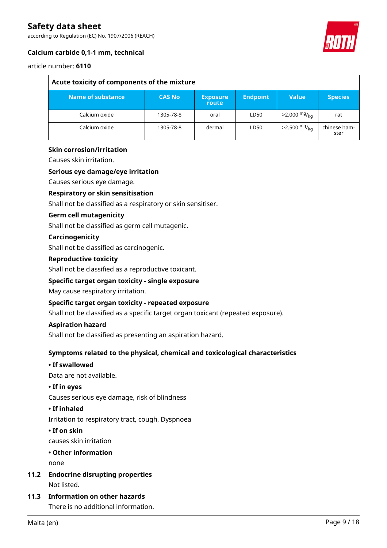according to Regulation (EC) No. 1907/2006 (REACH)



### **Calcium carbide 0,1-1 mm, technical**

#### article number: **6110**

| Acute toxicity of components of the mixture |               |                          |                 |                            |                      |  |  |  |
|---------------------------------------------|---------------|--------------------------|-----------------|----------------------------|----------------------|--|--|--|
| Name of substance                           | <b>CAS No</b> | <b>Exposure</b><br>route | <b>Endpoint</b> | Value                      | <b>Species</b>       |  |  |  |
| Calcium oxide                               | 1305-78-8     | oral                     | LD50            | $>2.000 \frac{mg}{kg}$     | rat                  |  |  |  |
| Calcium oxide                               | 1305-78-8     | dermal                   | LD50            | $>2.500$ mg/ <sub>kg</sub> | chinese ham-<br>ster |  |  |  |

#### **Skin corrosion/irritation**

Causes skin irritation.

#### **Serious eye damage/eye irritation**

Causes serious eye damage.

#### **Respiratory or skin sensitisation**

Shall not be classified as a respiratory or skin sensitiser.

#### **Germ cell mutagenicity**

Shall not be classified as germ cell mutagenic.

#### **Carcinogenicity**

Shall not be classified as carcinogenic.

#### **Reproductive toxicity**

Shall not be classified as a reproductive toxicant.

#### **Specific target organ toxicity - single exposure**

May cause respiratory irritation.

#### **Specific target organ toxicity - repeated exposure**

Shall not be classified as a specific target organ toxicant (repeated exposure).

#### **Aspiration hazard**

Shall not be classified as presenting an aspiration hazard.

#### **Symptoms related to the physical, chemical and toxicological characteristics**

### **• If swallowed**

Data are not available.

#### **• If in eyes**

Causes serious eye damage, risk of blindness

#### **• If inhaled**

Irritation to respiratory tract, cough, Dyspnoea

#### **• If on skin**

causes skin irritation

### **• Other information**

none

**11.2 Endocrine disrupting properties** Not listed.

### **11.3 Information on other hazards**

There is no additional information.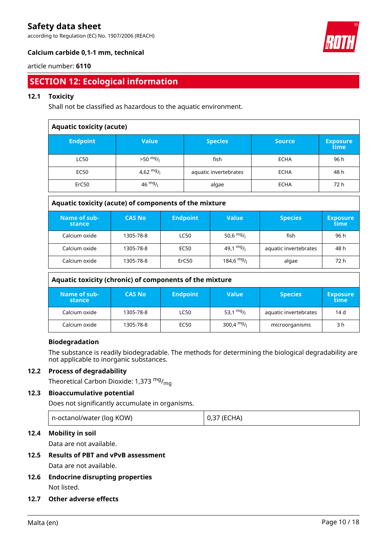according to Regulation (EC) No. 1907/2006 (REACH)



### **Calcium carbide 0,1-1 mm, technical**

#### article number: **6110**

# **SECTION 12: Ecological information**

### **12.1 Toxicity**

Shall not be classified as hazardous to the aquatic environment.

| <b>Aquatic toxicity (acute)</b> |              |                       |               |                         |  |
|---------------------------------|--------------|-----------------------|---------------|-------------------------|--|
| <b>Endpoint</b>                 | <b>Value</b> | <b>Species</b>        | <b>Source</b> | <b>Exposure</b><br>time |  |
| <b>LC50</b>                     | $>50$ mg/    | fish                  | <b>ECHA</b>   | 96 h                    |  |
| <b>EC50</b>                     | 4,62 $mg/$   | aquatic invertebrates | <b>ECHA</b>   | 48 h                    |  |
| ErC50                           | 46 $mg/$     | algae                 | <b>ECHA</b>   | 72 h                    |  |

| Aguatic toxicity (acute) or components or the imxture |               |                 |                        |                       |                         |  |  |
|-------------------------------------------------------|---------------|-----------------|------------------------|-----------------------|-------------------------|--|--|
| Name of sub-<br>stance                                | <b>CAS No</b> | <b>Endpoint</b> | Value                  | <b>Species</b>        | <b>Exposure</b><br>time |  |  |
| Calcium oxide                                         | 1305-78-8     | <b>LC50</b>     | 50,6 $mg/1$            | fish                  | 96 h                    |  |  |
| Calcium oxide                                         | 1305-78-8     | EC50            | 49,1 $mg/1$            | aquatic invertebrates | 48 h                    |  |  |
| Calcium oxide                                         | 1305-78-8     | ErC50           | 184,6 mg/ <sub>l</sub> | algae                 | 72 h                    |  |  |

| Aquatic toxicity (chronic) of components of the mixture                                                                 |           |      |              |                       |      |  |  |
|-------------------------------------------------------------------------------------------------------------------------|-----------|------|--------------|-----------------------|------|--|--|
| Name of sub-<br><b>CAS No</b><br><b>Endpoint</b><br><b>Value</b><br><b>Species</b><br><b>Exposure</b><br>time<br>stance |           |      |              |                       |      |  |  |
| Calcium oxide                                                                                                           | 1305-78-8 | LC50 | 53,1 $mg/1$  | aquatic invertebrates | 14 d |  |  |
| Calcium oxide                                                                                                           | 1305-78-8 | EC50 | 300,4 $mg/1$ | microorganisms        | 3 h  |  |  |

### **Biodegradation**

The substance is readily biodegradable. The methods for determining the biological degradability are not applicable to inorganic substances.

#### **12.2 Process of degradability**

Theoretical Carbon Dioxide: 1,373  $mg/m<sub>g</sub>$ 

### **12.3 Bioaccumulative potential**

Does not significantly accumulate in organisms.

| n-octanol/water (log KOW) | 0,37 (ECHA) |
|---------------------------|-------------|
|                           |             |

### **12.4 Mobility in soil**

Data are not available.

- **12.5 Results of PBT and vPvB assessment** Data are not available.
- **12.6 Endocrine disrupting properties** Not listed.
- **12.7 Other adverse effects**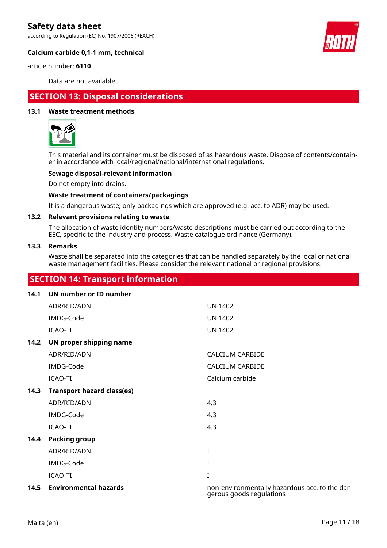according to Regulation (EC) No. 1907/2006 (REACH)



#### **Calcium carbide 0,1-1 mm, technical**

article number: **6110**

Data are not available.

## **SECTION 13: Disposal considerations**

#### **13.1 Waste treatment methods**



This material and its container must be disposed of as hazardous waste. Dispose of contents/container in accordance with local/regional/national/international regulations.

#### **Sewage disposal-relevant information**

Do not empty into drains.

#### **Waste treatment of containers/packagings**

It is a dangerous waste; only packagings which are approved (e.g. acc. to ADR) may be used.

#### **13.2 Relevant provisions relating to waste**

The allocation of waste identity numbers/waste descriptions must be carried out according to the EEC, specific to the industry and process. Waste catalogue ordinance (Germany).

#### **13.3 Remarks**

Waste shall be separated into the categories that can be handled separately by the local or national waste management facilities. Please consider the relevant national or regional provisions.

# **SECTION 14: Transport information**

| 14.1 | UN number or ID number            |                                                                            |
|------|-----------------------------------|----------------------------------------------------------------------------|
|      | ADR/RID/ADN                       | <b>UN 1402</b>                                                             |
|      | IMDG-Code                         | <b>UN 1402</b>                                                             |
|      | ICAO-TI                           | <b>UN 1402</b>                                                             |
| 14.2 | UN proper shipping name           |                                                                            |
|      | ADR/RID/ADN                       | <b>CALCIUM CARBIDE</b>                                                     |
|      | IMDG-Code                         | <b>CALCIUM CARBIDE</b>                                                     |
|      | ICAO-TI                           | Calcium carbide                                                            |
| 14.3 | <b>Transport hazard class(es)</b> |                                                                            |
|      | ADR/RID/ADN                       | 4.3                                                                        |
|      | IMDG-Code                         | 4.3                                                                        |
|      | ICAO-TI                           | 4.3                                                                        |
| 14.4 | <b>Packing group</b>              |                                                                            |
|      | ADR/RID/ADN                       | $\bf{I}$                                                                   |
|      | IMDG-Code                         | I                                                                          |
|      | ICAO-TI                           | I                                                                          |
| 14.5 | <b>Environmental hazards</b>      | non-environmentally hazardous acc. to the dan-<br>gerous goods regulations |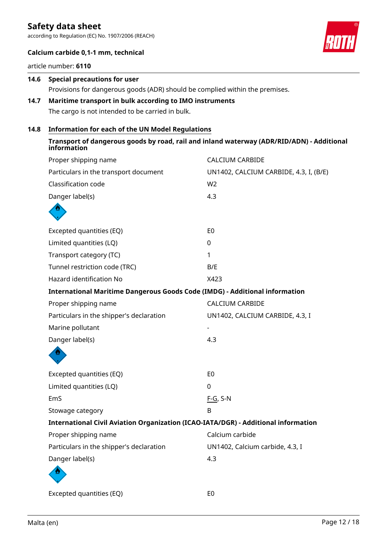according to Regulation (EC) No. 1907/2006 (REACH)



### **Calcium carbide 0,1-1 mm, technical**

article number: **6110**

# **14.6 Special precautions for user** Provisions for dangerous goods (ADR) should be complied within the premises.

### **14.7 Maritime transport in bulk according to IMO instruments** The cargo is not intended to be carried in bulk.

#### **14.8 Information for each of the UN Model Regulations**

| Transport of dangerous goods by road, rail and inland waterway (ADR/RID/ADN) - Additional<br>information |
|----------------------------------------------------------------------------------------------------------|
|----------------------------------------------------------------------------------------------------------|

| Proper shipping name                                                               | <b>CALCIUM CARBIDE</b>                 |  |
|------------------------------------------------------------------------------------|----------------------------------------|--|
| Particulars in the transport document                                              | UN1402, CALCIUM CARBIDE, 4.3, I, (B/E) |  |
| Classification code                                                                | W <sub>2</sub>                         |  |
| Danger label(s)                                                                    | 4.3                                    |  |
|                                                                                    |                                        |  |
| Excepted quantities (EQ)                                                           | E <sub>0</sub>                         |  |
| Limited quantities (LQ)                                                            | 0                                      |  |
| Transport category (TC)                                                            | 1                                      |  |
| Tunnel restriction code (TRC)                                                      | B/E                                    |  |
| Hazard identification No                                                           | X423                                   |  |
| <b>International Maritime Dangerous Goods Code (IMDG) - Additional information</b> |                                        |  |
| Proper shipping name                                                               | <b>CALCIUM CARBIDE</b>                 |  |
| Particulars in the shipper's declaration                                           | UN1402, CALCIUM CARBIDE, 4.3, I        |  |
| Marine pollutant                                                                   |                                        |  |
| Danger label(s)                                                                    | 4.3                                    |  |
|                                                                                    |                                        |  |
| Excepted quantities (EQ)                                                           | E <sub>0</sub>                         |  |
| Limited quantities (LQ)                                                            | 0                                      |  |
| EmS                                                                                | $F-G$ , S-N                            |  |
| Stowage category                                                                   | B                                      |  |
| International Civil Aviation Organization (ICAO-IATA/DGR) - Additional information |                                        |  |
| Proper shipping name                                                               | Calcium carbide                        |  |
| Particulars in the shipper's declaration                                           | UN1402, Calcium carbide, 4.3, I        |  |
| Danger label(s)                                                                    | 4.3                                    |  |
|                                                                                    |                                        |  |
| Excepted quantities (EQ)                                                           | E <sub>0</sub>                         |  |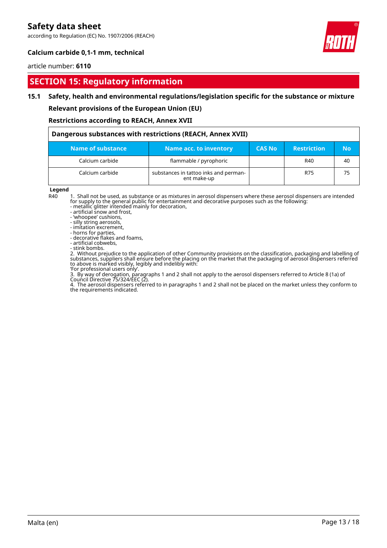according to Regulation (EC) No. 1907/2006 (REACH)



### **Calcium carbide 0,1-1 mm, technical**

#### article number: **6110**

## **SECTION 15: Regulatory information**

#### **15.1 Safety, health and environmental regulations/legislation specific for the substance or mixture**

**Relevant provisions of the European Union (EU)**

#### **Restrictions according to REACH, Annex XVII**

| Dangerous substances with restrictions (REACH, Annex XVII) |                                                      |               |                    |           |  |  |
|------------------------------------------------------------|------------------------------------------------------|---------------|--------------------|-----------|--|--|
| Name of substance                                          | <b>Name acc. to inventory</b>                        | <b>CAS No</b> | <b>Restriction</b> | <b>No</b> |  |  |
| Calcium carbide                                            | flammable / pyrophoric                               |               | R40                | 40        |  |  |
| Calcium carbide                                            | substances in tattoo inks and perman-<br>ent make-up |               | R75                | 75        |  |  |

**Legend**<br>R40

1. Shall not be used, as substance or as mixtures in aerosol dispensers where these aerosol dispensers are intended for supply to the general public for entertainment and decorative purposes such as the following:

- metallic glitter intended mainly for decoration,

- artificial snow and frost,

- 'whoopee' cushions,

- silly string aerosols, - imitation excrement,

- horns for parties,

- decorative flakes and foams,

- artificial cobwebs,

- stink bombs.

2. Without prejudice to the application of other Community provisions on the classification, packaging and labelling of substances, suppliers shall ensure before the placing on the market that the packaging of aerosol dispensers referred to above is marked visibly, legibly and indelibly with:

'For professional users only'.

3. By way of derogation, paragraphs 1 and 2 shall not apply to the aerosol dispensers referred to Article 8 (1a) of Council Directive 75/324/EEC (2).

4. The aerosol dispensers referred to in paragraphs 1 and 2 shall not be placed on the market unless they conform to the requirements indicated.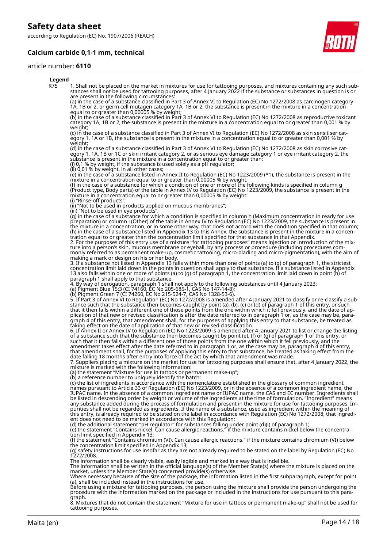according to Regulation (EC) No. 1907/2006 (REACH)

### **Calcium carbide 0,1-1 mm, technical**

#### article number: **6110**



8. Mixtures that do not contain the statement "Mixture for use in tattoos or permanent make-up" shall not be used for tattooing purposes.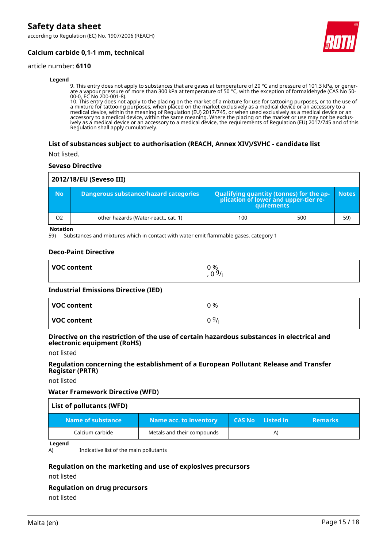according to Regulation (EC) No. 1907/2006 (REACH)



### **Calcium carbide 0,1-1 mm, technical**

#### article number: **6110**

#### **Legend**

9. This entry does not apply to substances that are gases at temperature of 20 °C and pressure of 101,3 kPa, or generate a vapour pressure of more than 300 kPa at temperature of 50 °C, with the exception of formaldehyde (CAS No 50- 00-0, EC No 200-001-8).

10. This entry does not apply to the placing on the market of a mixture for use for tattooing purposes, or to the use of a mixture for tattooing purposes, when placed on the market exclusively as a medical device or an accessory to a medical device, within the meaning of Regulation (EU) 2017/745, or when used exclusively as a medical device or an accessory to a medical device, within the same meaning. Where the placing on the market or use may not be exclusively as a medical device or an accessory to a medical device, the requirements of Regulation (EU) 2017/745 and of this Regulation shall apply cumulatively.

#### **List of substances subject to authorisation (REACH, Annex XIV)/SVHC - candidate list**

Not listed.

#### **Seveso Directive**

| 2012/18/EU (Seveso III) |                                       |     |                                                                                            |              |  |  |
|-------------------------|---------------------------------------|-----|--------------------------------------------------------------------------------------------|--------------|--|--|
| <b>No</b>               | Dangerous substance/hazard categories |     | Qualifying quantity (tonnes) for the application of lower and upper-tier re-<br>quirements | <b>Notes</b> |  |  |
| O <sub>2</sub>          | other hazards (Water-react., cat. 1)  | 100 | 500                                                                                        | 59)          |  |  |

**Notation**

59) Substances and mixtures which in contact with water emit flammable gases, category 1

#### **Deco-Paint Directive**

| <b>VOC content</b> | 0 %<br>0.91<br>ν |
|--------------------|------------------|
|                    |                  |

#### **Industrial Emissions Directive (IED)**

| VOC content | 0 %  |
|-------------|------|
| VOC content | 09/1 |

#### **Directive on the restriction of the use of certain hazardous substances in electrical and electronic equipment (RoHS)**

not listed

#### **Regulation concerning the establishment of a European Pollutant Release and Transfer Register (PRTR)**

not listed

#### **Water Framework Directive (WFD)**

| List of pollutants (WFD) |                            |               |                          |                |  |  |
|--------------------------|----------------------------|---------------|--------------------------|----------------|--|--|
| Name of substance        | Name acc. to inventory     | <b>CAS No</b> | $\blacksquare$ Listed in | <b>Remarks</b> |  |  |
| Calcium carbide          | Metals and their compounds |               | $\mathsf{A}$             |                |  |  |

**Legend**

A) Indicative list of the main pollutants

#### **Regulation on the marketing and use of explosives precursors**

not listed

#### **Regulation on drug precursors**

not listed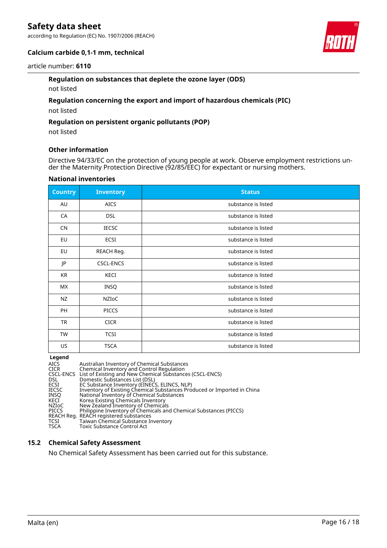according to Regulation (EC) No. 1907/2006 (REACH)



#### **Calcium carbide 0,1-1 mm, technical**

#### article number: **6110**

#### **Regulation on substances that deplete the ozone layer (ODS)**

not listed

#### **Regulation concerning the export and import of hazardous chemicals (PIC)**

not listed

#### **Regulation on persistent organic pollutants (POP)**

not listed

#### **Other information**

Directive 94/33/EC on the protection of young people at work. Observe employment restrictions under the Maternity Protection Directive (92/85/EEC) for expectant or nursing mothers.

#### **National inventories**

| <b>Country</b> | <b>Inventory</b> | <b>Status</b>       |
|----------------|------------------|---------------------|
| AU             | <b>AICS</b>      | substance is listed |
| CA             | <b>DSL</b>       | substance is listed |
| <b>CN</b>      | <b>IECSC</b>     | substance is listed |
| EU             | ECSI             | substance is listed |
| EU             | REACH Reg.       | substance is listed |
| JP             | <b>CSCL-ENCS</b> | substance is listed |
| KR             | KECI             | substance is listed |
| МX             | <b>INSQ</b>      | substance is listed |
| <b>NZ</b>      | NZIOC            | substance is listed |
| <b>PH</b>      | <b>PICCS</b>     | substance is listed |
| <b>TR</b>      | <b>CICR</b>      | substance is listed |
| <b>TW</b>      | <b>TCSI</b>      | substance is listed |
| US             | <b>TSCA</b>      | substance is listed |

**Legend<br>AICS<br>CICR<br>CSCL-ENCS** AICS Australian Inventory of Chemical Substances CICR Chemical Inventory and Control Regulation CSCL-ENCS List of Existing and New Chemical Substances (CSCL-ENCS) DSL Domestic Substances List (DSL) ECSI EC Substance Inventory (EINECS, ELINCS, NLP) IECSC Inventory of Existing Chemical Substances Produced or Imported in China INSQ National Inventory of Chemical Substances KECI Korea Existing Chemicals Inventory NZIoC New Zealand Inventory of Chemicals PICCS Philippine Inventory of Chemicals and Chemical Substances (PICCS) REACH Reg. REACH registered substances TCSI Taiwan Chemical Substance Inventory<br>TSCA Toxic Substance Control Act Toxic Substance Control Act

#### **15.2 Chemical Safety Assessment**

No Chemical Safety Assessment has been carried out for this substance.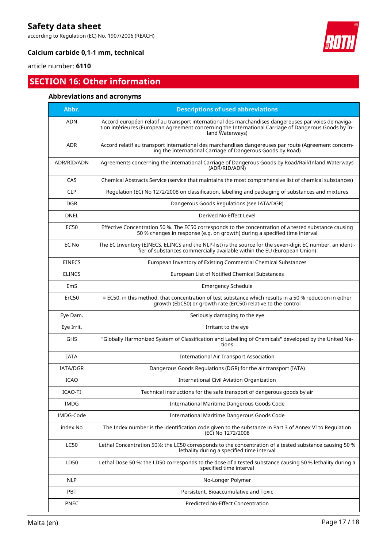according to Regulation (EC) No. 1907/2006 (REACH)



### **Calcium carbide 0,1-1 mm, technical**

article number: **6110**

# **SECTION 16: Other information**

### **Abbreviations and acronyms**

| Abbr.           | <b>Descriptions of used abbreviations</b>                                                                                                                                                                                       |
|-----------------|---------------------------------------------------------------------------------------------------------------------------------------------------------------------------------------------------------------------------------|
| <b>ADN</b>      | Accord européen relatif au transport international des marchandises dangereuses par voies de naviga-<br>tion intérieures (European Agreement concerning the International Carriage of Dangerous Goods by In-<br>land Waterways) |
| <b>ADR</b>      | Accord relatif au transport international des marchandises dangereuses par route (Agreement concern-<br>ing the International Carriage of Dangerous Goods by Road)                                                              |
| ADR/RID/ADN     | Agreements concerning the International Carriage of Dangerous Goods by Road/Rail/Inland Waterways<br>(ADR/RID/ADN)                                                                                                              |
| CAS             | Chemical Abstracts Service (service that maintains the most comprehensive list of chemical substances)                                                                                                                          |
| <b>CLP</b>      | Regulation (EC) No 1272/2008 on classification, labelling and packaging of substances and mixtures                                                                                                                              |
| <b>DGR</b>      | Dangerous Goods Regulations (see IATA/DGR)                                                                                                                                                                                      |
| <b>DNEL</b>     | Derived No-Effect Level                                                                                                                                                                                                         |
| EC50            | Effective Concentration 50 %. The EC50 corresponds to the concentration of a tested substance causing<br>50 % changes in response (e.g. on growth) during a specified time interval                                             |
| EC No           | The EC Inventory (EINECS, ELINCS and the NLP-list) is the source for the seven-digit EC number, an identi-<br>fier of substances commercially available within the EU (European Union)                                          |
| <b>EINECS</b>   | European Inventory of Existing Commercial Chemical Substances                                                                                                                                                                   |
| <b>ELINCS</b>   | European List of Notified Chemical Substances                                                                                                                                                                                   |
| EmS             | <b>Emergency Schedule</b>                                                                                                                                                                                                       |
| ErC50           | $\equiv$ EC50: in this method, that concentration of test substance which results in a 50 % reduction in either<br>growth (EbC50) or growth rate (ErC50) relative to the control                                                |
| Eye Dam.        | Seriously damaging to the eye                                                                                                                                                                                                   |
| Eye Irrit.      | Irritant to the eye                                                                                                                                                                                                             |
| <b>GHS</b>      | "Globally Harmonized System of Classification and Labelling of Chemicals" developed by the United Na-<br>tions                                                                                                                  |
| <b>IATA</b>     | <b>International Air Transport Association</b>                                                                                                                                                                                  |
| <b>IATA/DGR</b> | Dangerous Goods Regulations (DGR) for the air transport (IATA)                                                                                                                                                                  |
| <b>ICAO</b>     | International Civil Aviation Organization                                                                                                                                                                                       |
| ICAO-TI         | Technical instructions for the safe transport of dangerous goods by air                                                                                                                                                         |
| <b>IMDG</b>     | International Maritime Dangerous Goods Code                                                                                                                                                                                     |
| IMDG-Code       | International Maritime Dangerous Goods Code                                                                                                                                                                                     |
| index No        | The Index number is the identification code given to the substance in Part 3 of Annex VI to Regulation<br>(EC) No 1272/2008                                                                                                     |
| <b>LC50</b>     | Lethal Concentration 50%: the LC50 corresponds to the concentration of a tested substance causing 50 %<br>lethality during a specified time interval                                                                            |
| LD50            | Lethal Dose 50 %: the LD50 corresponds to the dose of a tested substance causing 50 % lethality during a<br>specified time interval                                                                                             |
| <b>NLP</b>      | No-Longer Polymer                                                                                                                                                                                                               |
| PBT             | Persistent, Bioaccumulative and Toxic                                                                                                                                                                                           |
| <b>PNEC</b>     | Predicted No-Effect Concentration                                                                                                                                                                                               |